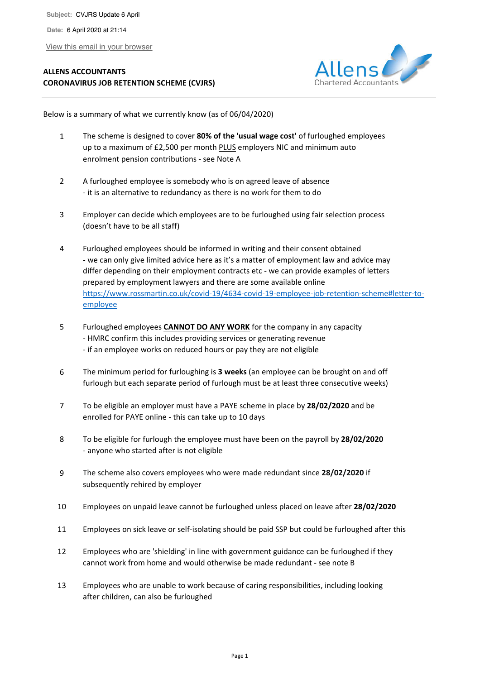View this email in your browser

## **ALLENS ACCOUNTANTS CORONAVIRUS JOB RETENTION SCHEME (CVJRS)**



Below is a summary of what we currently know (as of 06/04/2020)

- 1 The scheme is designed to cover **80% of the 'usual wage cost'** of furloughed employees up to a maximum of £2,500 per month PLUS employers NIC and minimum auto enrolment pension contributions - see Note A
- 2 A furloughed employee is somebody who is on agreed leave of absence - it is an alternative to redundancy as there is no work for them to do
- 3 Employer can decide which employees are to be furloughed using fair selection process (doesn't have to be all staff)
- 4 Furloughed employees should be informed in writing and their consent obtained - we can only give limited advice here as it's a matter of employment law and advice may differ depending on their employment contracts etc - we can provide examples of letters prepared by employment lawyers and there are some available online https://www.rossmartin.co.uk/covid-19/4634-covid-19-employee-job-retention-scheme#letter-toemployee
- 5 Furloughed employees **CANNOT DO ANY WORK** for the company in any capacity - HMRC confirm this includes providing services or generating revenue - if an employee works on reduced hours or pay they are not eligible
- 6 The minimum period for furloughing is **3 weeks** (an employee can be brought on and off furlough but each separate period of furlough must be at least three consecutive weeks)
- 7 To be eligible an employer must have a PAYE scheme in place by **28/02/2020** and be enrolled for PAYE online - this can take up to 10 days
- 8 To be eligible for furlough the employee must have been on the payroll by **28/02/2020**  - anyone who started after is not eligible
- 9 The scheme also covers employees who were made redundant since **28/02/2020** if subsequently rehired by employer
- 10 Employees on unpaid leave cannot be furloughed unless placed on leave after **28/02/2020**
- 11 Employees on sick leave or self-isolating should be paid SSP but could be furloughed after this
- 12 Employees who are 'shielding' in line with government guidance can be furloughed if they cannot work from home and would otherwise be made redundant - see note B
- 13 Employees who are unable to work because of caring responsibilities, including looking after children, can also be furloughed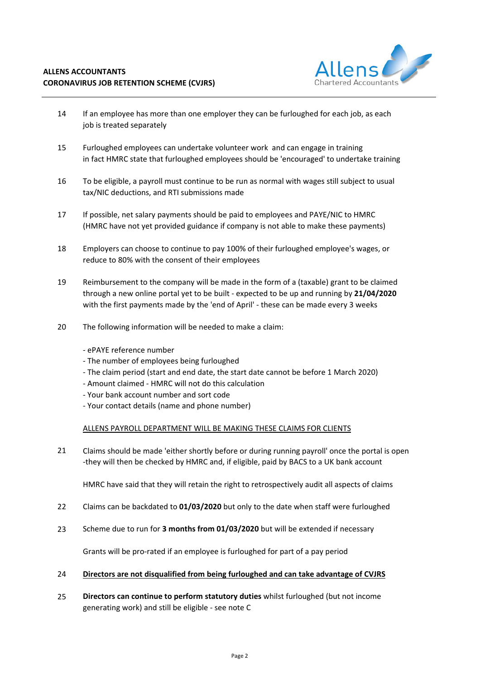

- 14 If an employee has more than one employer they can be furloughed for each job, as each job is treated separately
- 15 Furloughed employees can undertake volunteer work and can engage in training in fact HMRC state that furloughed employees should be 'encouraged' to undertake training
- 16 To be eligible, a payroll must continue to be run as normal with wages still subject to usual tax/NIC deductions, and RTI submissions made
- 17 If possible, net salary payments should be paid to employees and PAYE/NIC to HMRC (HMRC have not yet provided guidance if company is not able to make these payments)
- 18 Employers can choose to continue to pay 100% of their furloughed employee's wages, or reduce to 80% with the consent of their employees
- 19 Reimbursement to the company will be made in the form of a (taxable) grant to be claimed through a new online portal yet to be built - expected to be up and running by **21/04/2020** with the first payments made by the 'end of April' - these can be made every 3 weeks
- 20 The following information will be needed to make a claim:
	- ePAYE reference number
	- The number of employees being furloughed
	- The claim period (start and end date, the start date cannot be before 1 March 2020)
	- Amount claimed HMRC will not do this calculation
	- Your bank account number and sort code
	- Your contact details (name and phone number)

## ALLENS PAYROLL DEPARTMENT WILL BE MAKING THESE CLAIMS FOR CLIENTS

21 Claims should be made 'either shortly before or during running payroll' once the portal is open -they will then be checked by HMRC and, if eligible, paid by BACS to a UK bank account

HMRC have said that they will retain the right to retrospectively audit all aspects of claims

- 22 Claims can be backdated to **01/03/2020** but only to the date when staff were furloughed
- 23 Scheme due to run for **3 months from 01/03/2020** but will be extended if necessary

Grants will be pro-rated if an employee is furloughed for part of a pay period

## 24 **Directors are not disqualified from being furloughed and can take advantage of CVJRS**

25 **Directors can continue to perform statutory duties** whilst furloughed (but not income generating work) and still be eligible - see note C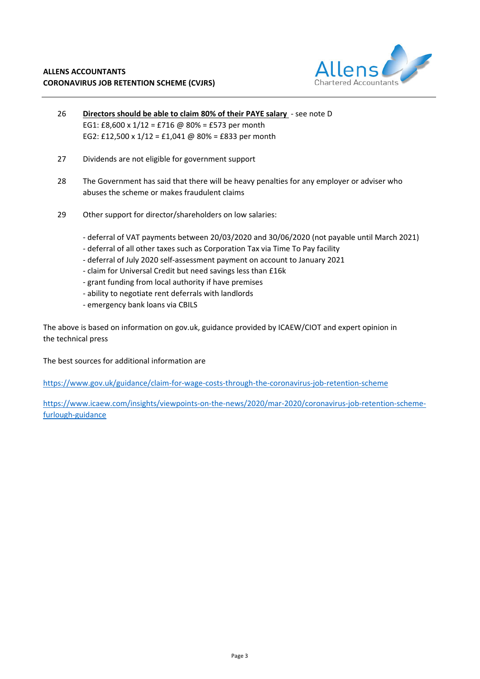

- 26 **Directors should be able to claim 80% of their PAYE salary**  see note D EG1: £8,600 x 1/12 = £716 @ 80% = £573 per month EG2: £12,500 x 1/12 = £1,041 @ 80% = £833 per month
- 27 Dividends are not eligible for government support
- 28 The Government has said that there will be heavy penalties for any employer or adviser who abuses the scheme or makes fraudulent claims
- 29 Other support for director/shareholders on low salaries:
	- deferral of VAT payments between 20/03/2020 and 30/06/2020 (not payable until March 2021)
	- deferral of all other taxes such as Corporation Tax via Time To Pay facility
	- deferral of July 2020 self-assessment payment on account to January 2021
	- claim for Universal Credit but need savings less than £16k
	- grant funding from local authority if have premises
	- ability to negotiate rent deferrals with landlords
	- emergency bank loans via CBILS

The above is based on information on gov.uk, guidance provided by ICAEW/CIOT and expert opinion in the technical press

The best sources for additional information are

https://www.gov.uk/guidance/claim-for-wage-costs-through-the-coronavirus-job-retention-scheme

https://www.icaew.com/insights/viewpoints-on-the-news/2020/mar-2020/coronavirus-job-retention-schemefurlough-guidance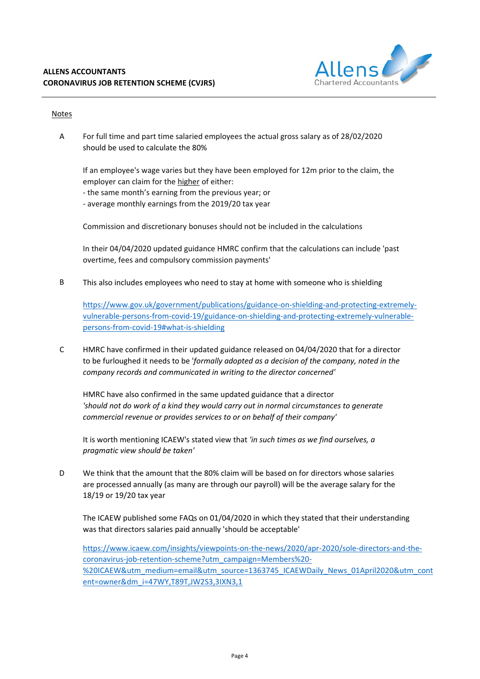

## **Notes**

A For full time and part time salaried employees the actual gross salary as of 28/02/2020 should be used to calculate the 80%

If an employee's wage varies but they have been employed for 12m prior to the claim, the employer can claim for the higher of either:

- the same month's earning from the previous year; or
- average monthly earnings from the 2019/20 tax year

Commission and discretionary bonuses should not be included in the calculations

In their 04/04/2020 updated guidance HMRC confirm that the calculations can include 'past overtime, fees and compulsory commission payments'

B This also includes employees who need to stay at home with someone who is shielding

https://www.gov.uk/government/publications/guidance-on-shielding-and-protecting-extremelyvulnerable-persons-from-covid-19/guidance-on-shielding-and-protecting-extremely-vulnerablepersons-from-covid-19#what-is-shielding

C HMRC have confirmed in their updated guidance released on 04/04/2020 that for a director to be furloughed it needs to be '*formally adopted as a decision of the company, noted in the company records and communicated in writing to the director concerned'*

HMRC have also confirmed in the same updated guidance that a director *'should not do work of a kind they would carry out in normal circumstances to generate commercial revenue or provides services to or on behalf of their company'*

It is worth mentioning ICAEW's stated view that *'in such times as we find ourselves, a pragmatic view should be taken'*

D We think that the amount that the 80% claim will be based on for directors whose salaries are processed annually (as many are through our payroll) will be the average salary for the 18/19 or 19/20 tax year

The ICAEW published some FAQs on 01/04/2020 in which they stated that their understanding was that directors salaries paid annually 'should be acceptable'

https://www.icaew.com/insights/viewpoints-on-the-news/2020/apr-2020/sole-directors-and-thecoronavirus-job-retention-scheme?utm\_campaign=Members%20- %20ICAEW&utm\_medium=email&utm\_source=1363745\_ICAEWDaily\_News\_01April2020&utm\_cont ent=owner&dm\_i=47WY,T89T,JW2S3,3IXN3,1